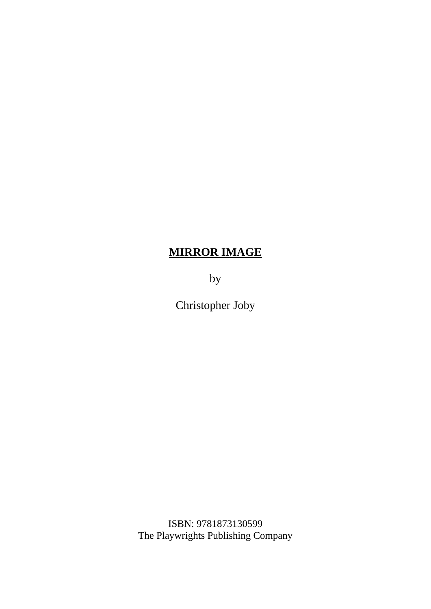## **MIRROR IMAGE**

by

Christopher Joby

ISBN: 9781873130599 The Playwrights Publishing Company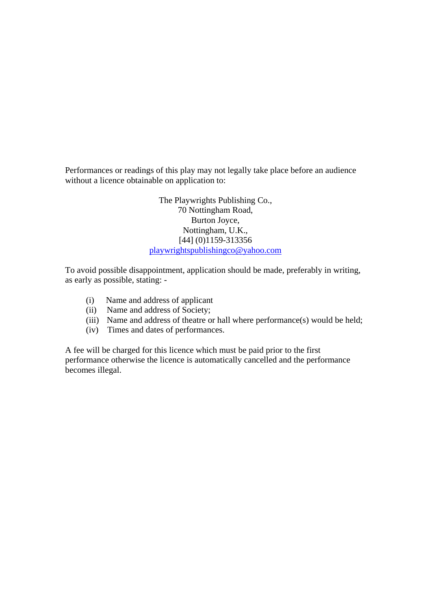Performances or readings of this play may not legally take place before an audience without a licence obtainable on application to:

> The Playwrights Publishing Co., 70 Nottingham Road, Burton Joyce, Nottingham, U.K., [44] (0)1159-313356 [playwrightspublishingco@yahoo.com](mailto:playwrightspublishingco@yahoo.com)

To avoid possible disappointment, application should be made, preferably in writing, as early as possible, stating: -

- (i) Name and address of applicant
- (ii) Name and address of Society;
- (iii) Name and address of theatre or hall where performance(s) would be held;
- (iv) Times and dates of performances.

A fee will be charged for this licence which must be paid prior to the first performance otherwise the licence is automatically cancelled and the performance becomes illegal.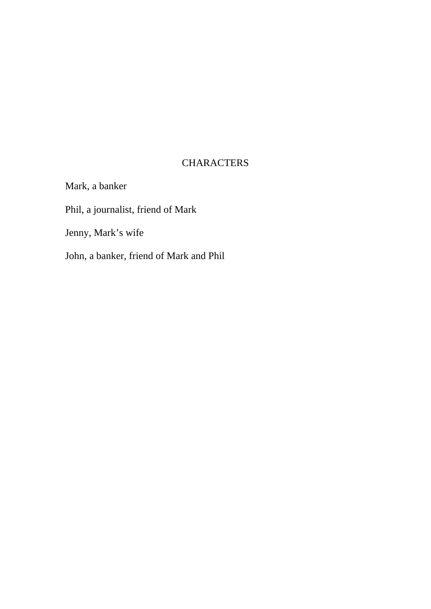## **CHARACTERS**

Mark, a banker Phil, a journalist, friend of Mark Jenny, Mark's wife John, a banker, friend of Mark and Phil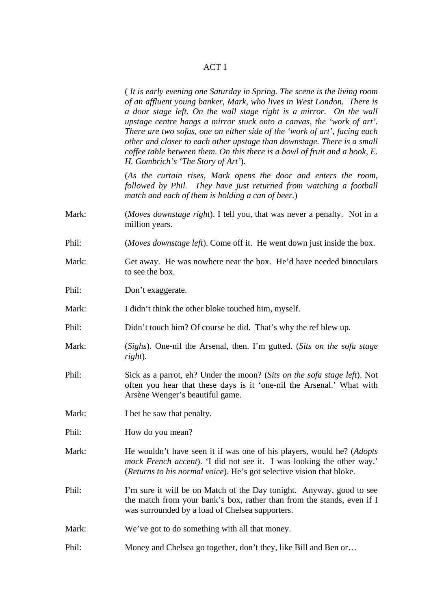## ACT 1

( *It is early evening one Saturday in Spring. The scene is the living room of an affluent young banker, Mark, who lives in West London. There is a door stage left. On the wall stage right is a mirror. On the wall upstage centre hangs a mirror stuck onto a canvas, the 'work of art'. There are two sofas, one on either side of the 'work of art', facing each other and closer to each other upstage than downstage. There is a small coffee table between them. On this there is a bowl of fruit and a book, E. H. Gombrich's 'The Story of Art'*).

(*As the curtain rises, Mark opens the door and enters the room, followed by Phil. They have just returned from watching a football match and each of them is holding a can of beer.*)

- Mark: (*Moves downstage right*). I tell you, that was never a penalty. Not in a million years.
- Phil: (*Moves downstage left*). Come off it. He went down just inside the box.
- Mark: Get away. He was nowhere near the box. He'd have needed binoculars to see the box.
- Phil: Don't exaggerate.
- Mark: I didn't think the other bloke touched him, myself.
- Phil: Didn't touch him? Of course he did. That's why the ref blew up.
- Mark: (*Sighs*). One-nil the Arsenal, then. I'm gutted. (*Sits on the sofa stage right*).
- Phil: Sick as a parrot, eh? Under the moon? (*Sits on the sofa stage left*). Not often you hear that these days is it 'one-nil the Arsenal.' What with Arsène Wenger's beautiful game.
- Mark: I bet he saw that penalty.
- Phil: How do you mean?
- Mark: He wouldn't have seen it if was one of his players, would he? (*Adopts mock French accent*). 'I did not see it. I was looking the other way.' (*Returns to his normal voice*). He's got selective vision that bloke.

Phil: I'm sure it will be on Match of the Day tonight. Anyway, good to see the match from your bank's box, rather than from the stands, even if I was surrounded by a load of Chelsea supporters.

Mark: We've got to do something with all that money.

Phil: Money and Chelsea go together, don't they, like Bill and Ben or...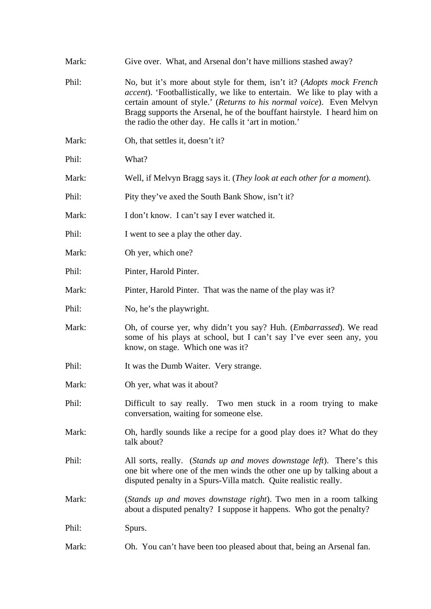| Mark: | Give over. What, and Arsenal don't have millions stashed away?                                                                                                                                                                                                                                                                                                          |
|-------|-------------------------------------------------------------------------------------------------------------------------------------------------------------------------------------------------------------------------------------------------------------------------------------------------------------------------------------------------------------------------|
| Phil: | No, but it's more about style for them, isn't it? (Adopts mock French<br><i>accent</i> ). 'Footballistically, we like to entertain. We like to play with a<br>certain amount of style.' (Returns to his normal voice). Even Melvyn<br>Bragg supports the Arsenal, he of the bouffant hairstyle. I heard him on<br>the radio the other day. He calls it 'art in motion.' |
| Mark: | Oh, that settles it, doesn't it?                                                                                                                                                                                                                                                                                                                                        |
| Phil: | What?                                                                                                                                                                                                                                                                                                                                                                   |
| Mark: | Well, if Melvyn Bragg says it. (They look at each other for a moment).                                                                                                                                                                                                                                                                                                  |
| Phil: | Pity they've axed the South Bank Show, isn't it?                                                                                                                                                                                                                                                                                                                        |
| Mark: | I don't know. I can't say I ever watched it.                                                                                                                                                                                                                                                                                                                            |
| Phil: | I went to see a play the other day.                                                                                                                                                                                                                                                                                                                                     |
| Mark: | Oh yer, which one?                                                                                                                                                                                                                                                                                                                                                      |
| Phil: | Pinter, Harold Pinter.                                                                                                                                                                                                                                                                                                                                                  |
| Mark: | Pinter, Harold Pinter. That was the name of the play was it?                                                                                                                                                                                                                                                                                                            |
| Phil: | No, he's the playwright.                                                                                                                                                                                                                                                                                                                                                |
| Mark: | Oh, of course yer, why didn't you say? Huh. ( <i>Embarrassed</i> ). We read<br>some of his plays at school, but I can't say I've ever seen any, you<br>know, on stage. Which one was it?                                                                                                                                                                                |
| Phil: | It was the Dumb Waiter. Very strange.                                                                                                                                                                                                                                                                                                                                   |
| Mark: | Oh yer, what was it about?                                                                                                                                                                                                                                                                                                                                              |
| Phil: | Difficult to say really. Two men stuck in a room trying to make<br>conversation, waiting for someone else.                                                                                                                                                                                                                                                              |
| Mark: | Oh, hardly sounds like a recipe for a good play does it? What do they<br>talk about?                                                                                                                                                                                                                                                                                    |
| Phil: | All sorts, really. (Stands up and moves downstage left). There's this<br>one bit where one of the men winds the other one up by talking about a<br>disputed penalty in a Spurs-Villa match. Quite realistic really.                                                                                                                                                     |
| Mark: | (Stands up and moves downstage right). Two men in a room talking<br>about a disputed penalty? I suppose it happens. Who got the penalty?                                                                                                                                                                                                                                |
| Phil: | Spurs.                                                                                                                                                                                                                                                                                                                                                                  |
| Mark: | Oh. You can't have been too pleased about that, being an Arsenal fan.                                                                                                                                                                                                                                                                                                   |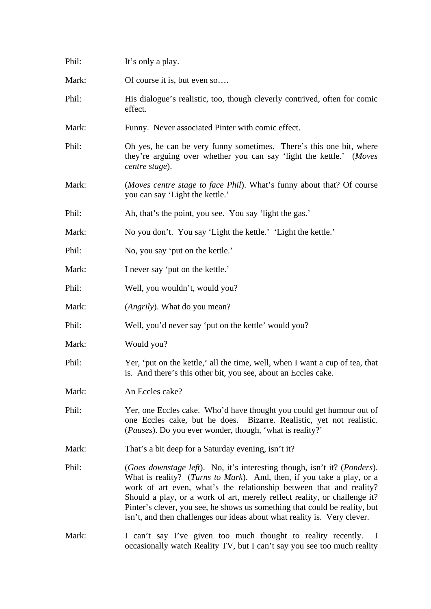| Phil: | It's only a play.                                                                                                                                                                                                                                                                                                                                                                                                                                                               |
|-------|---------------------------------------------------------------------------------------------------------------------------------------------------------------------------------------------------------------------------------------------------------------------------------------------------------------------------------------------------------------------------------------------------------------------------------------------------------------------------------|
| Mark: | Of course it is, but even so                                                                                                                                                                                                                                                                                                                                                                                                                                                    |
| Phil: | His dialogue's realistic, too, though cleverly contrived, often for comic<br>effect.                                                                                                                                                                                                                                                                                                                                                                                            |
| Mark: | Funny. Never associated Pinter with comic effect.                                                                                                                                                                                                                                                                                                                                                                                                                               |
| Phil: | Oh yes, he can be very funny sometimes. There's this one bit, where<br>they're arguing over whether you can say 'light the kettle.' (Moves<br>centre stage).                                                                                                                                                                                                                                                                                                                    |
| Mark: | (Moves centre stage to face Phil). What's funny about that? Of course<br>you can say 'Light the kettle.'                                                                                                                                                                                                                                                                                                                                                                        |
| Phil: | Ah, that's the point, you see. You say 'light the gas.'                                                                                                                                                                                                                                                                                                                                                                                                                         |
| Mark: | No you don't. You say 'Light the kettle.' 'Light the kettle.'                                                                                                                                                                                                                                                                                                                                                                                                                   |
| Phil: | No, you say 'put on the kettle.'                                                                                                                                                                                                                                                                                                                                                                                                                                                |
| Mark: | I never say 'put on the kettle.'                                                                                                                                                                                                                                                                                                                                                                                                                                                |
| Phil: | Well, you wouldn't, would you?                                                                                                                                                                                                                                                                                                                                                                                                                                                  |
| Mark: | ( <i>Angrily</i> ). What do you mean?                                                                                                                                                                                                                                                                                                                                                                                                                                           |
| Phil: | Well, you'd never say 'put on the kettle' would you?                                                                                                                                                                                                                                                                                                                                                                                                                            |
| Mark: | Would you?                                                                                                                                                                                                                                                                                                                                                                                                                                                                      |
| Phil: | Yer, 'put on the kettle,' all the time, well, when I want a cup of tea, that<br>is. And there's this other bit, you see, about an Eccles cake.                                                                                                                                                                                                                                                                                                                                  |
| Mark: | An Eccles cake?                                                                                                                                                                                                                                                                                                                                                                                                                                                                 |
| Phil: | Yer, one Eccles cake. Who'd have thought you could get humour out of<br>one Eccles cake, but he does. Bizarre. Realistic, yet not realistic.<br>( <i>Pauses</i> ). Do you ever wonder, though, 'what is reality?'                                                                                                                                                                                                                                                               |
| Mark: | That's a bit deep for a Saturday evening, isn't it?                                                                                                                                                                                                                                                                                                                                                                                                                             |
| Phil: | <i>(Goes downstage left)</i> . No, it's interesting though, isn't it? <i>(Ponders)</i> .<br>What is reality? (Turns to Mark). And, then, if you take a play, or a<br>work of art even, what's the relationship between that and reality?<br>Should a play, or a work of art, merely reflect reality, or challenge it?<br>Pinter's clever, you see, he shows us something that could be reality, but<br>isn't, and then challenges our ideas about what reality is. Very clever. |
| Mark: | I can't say I've given too much thought to reality recently.<br>- 1<br>occasionally watch Reality TV, but I can't say you see too much reality                                                                                                                                                                                                                                                                                                                                  |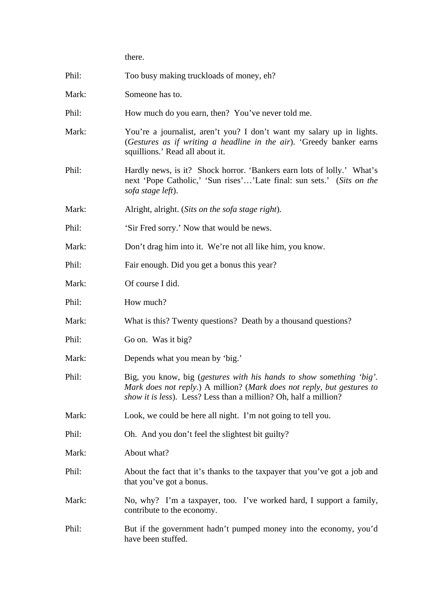|       | there.                                                                                                                                                                                                             |
|-------|--------------------------------------------------------------------------------------------------------------------------------------------------------------------------------------------------------------------|
| Phil: | Too busy making truckloads of money, eh?                                                                                                                                                                           |
| Mark: | Someone has to.                                                                                                                                                                                                    |
| Phil: | How much do you earn, then? You've never told me.                                                                                                                                                                  |
| Mark: | You're a journalist, aren't you? I don't want my salary up in lights.<br>(Gestures as if writing a headline in the air). 'Greedy banker earns<br>squillions.' Read all about it.                                   |
| Phil: | Hardly news, is it? Shock horror. 'Bankers earn lots of lolly.' What's<br>next 'Pope Catholic,' 'Sun rises''Late final: sun sets.' (Sits on the<br>sofa stage left).                                               |
| Mark: | Alright, alright. (Sits on the sofa stage right).                                                                                                                                                                  |
| Phil: | 'Sir Fred sorry.' Now that would be news.                                                                                                                                                                          |
| Mark: | Don't drag him into it. We're not all like him, you know.                                                                                                                                                          |
| Phil: | Fair enough. Did you get a bonus this year?                                                                                                                                                                        |
| Mark: | Of course I did.                                                                                                                                                                                                   |
| Phil: | How much?                                                                                                                                                                                                          |
| Mark: | What is this? Twenty questions? Death by a thousand questions?                                                                                                                                                     |
| Phil: | Go on. Was it big?                                                                                                                                                                                                 |
| Mark: | Depends what you mean by 'big.'                                                                                                                                                                                    |
| Phil: | Big, you know, big (gestures with his hands to show something 'big'.<br>Mark does not reply.) A million? (Mark does not reply, but gestures to<br>show it is less). Less? Less than a million? Oh, half a million? |
| Mark: | Look, we could be here all night. I'm not going to tell you.                                                                                                                                                       |
| Phil: | Oh. And you don't feel the slightest bit guilty?                                                                                                                                                                   |
| Mark: | About what?                                                                                                                                                                                                        |
| Phil: | About the fact that it's thanks to the taxpayer that you've got a job and<br>that you've got a bonus.                                                                                                              |
| Mark: | No, why? I'm a taxpayer, too. I've worked hard, I support a family,<br>contribute to the economy.                                                                                                                  |
| Phil: | But if the government hadn't pumped money into the economy, you'd<br>have been stuffed.                                                                                                                            |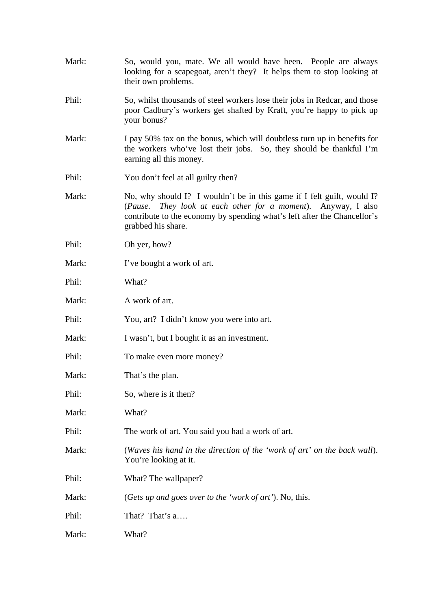| Mark: | So, would you, mate. We all would have been. People are always<br>looking for a scapegoat, aren't they? It helps them to stop looking at<br>their own problems.                                                                              |
|-------|----------------------------------------------------------------------------------------------------------------------------------------------------------------------------------------------------------------------------------------------|
| Phil: | So, whilst thousands of steel workers lose their jobs in Redcar, and those<br>poor Cadbury's workers get shafted by Kraft, you're happy to pick up<br>your bonus?                                                                            |
| Mark: | I pay 50% tax on the bonus, which will doubtless turn up in benefits for<br>the workers who've lost their jobs. So, they should be thankful I'm<br>earning all this money.                                                                   |
| Phil: | You don't feel at all guilty then?                                                                                                                                                                                                           |
| Mark: | No, why should I? I wouldn't be in this game if I felt guilt, would I?<br>They look at each other for a moment). Anyway, I also<br>(Pause.<br>contribute to the economy by spending what's left after the Chancellor's<br>grabbed his share. |
| Phil: | Oh yer, how?                                                                                                                                                                                                                                 |
| Mark: | I've bought a work of art.                                                                                                                                                                                                                   |
| Phil: | What?                                                                                                                                                                                                                                        |
| Mark: | A work of art.                                                                                                                                                                                                                               |
| Phil: | You, art? I didn't know you were into art.                                                                                                                                                                                                   |
| Mark: | I wasn't, but I bought it as an investment.                                                                                                                                                                                                  |
| Phil: | To make even more money?                                                                                                                                                                                                                     |
| Mark: | That's the plan.                                                                                                                                                                                                                             |
| Phil: | So, where is it then?                                                                                                                                                                                                                        |
| Mark: | What?                                                                                                                                                                                                                                        |
| Phil: | The work of art. You said you had a work of art.                                                                                                                                                                                             |
| Mark: | (Waves his hand in the direction of the 'work of art' on the back wall).<br>You're looking at it.                                                                                                                                            |
| Phil: | What? The wallpaper?                                                                                                                                                                                                                         |
| Mark: | (Gets up and goes over to the 'work of art'). No, this.                                                                                                                                                                                      |
| Phil: | That? That's a                                                                                                                                                                                                                               |
| Mark: | What?                                                                                                                                                                                                                                        |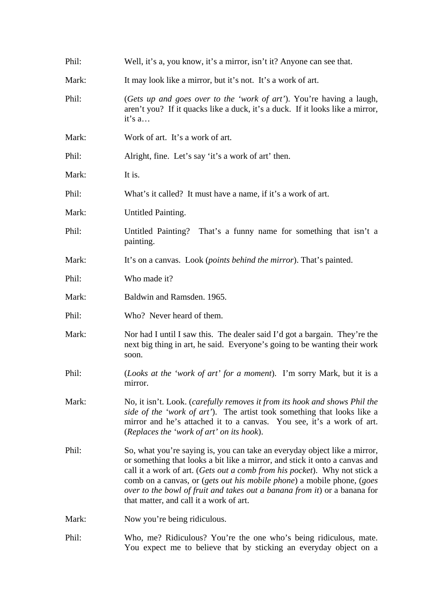| Phil: | Well, it's a, you know, it's a mirror, isn't it? Anyone can see that.                                                                                                                                                                                                                                                                                                                                                                   |
|-------|-----------------------------------------------------------------------------------------------------------------------------------------------------------------------------------------------------------------------------------------------------------------------------------------------------------------------------------------------------------------------------------------------------------------------------------------|
| Mark: | It may look like a mirror, but it's not. It's a work of art.                                                                                                                                                                                                                                                                                                                                                                            |
| Phil: | (Gets up and goes over to the 'work of art'). You're having a laugh,<br>aren't you? If it quacks like a duck, it's a duck. If it looks like a mirror,<br>it's a                                                                                                                                                                                                                                                                         |
| Mark: | Work of art. It's a work of art.                                                                                                                                                                                                                                                                                                                                                                                                        |
| Phil: | Alright, fine. Let's say 'it's a work of art' then.                                                                                                                                                                                                                                                                                                                                                                                     |
| Mark: | It is.                                                                                                                                                                                                                                                                                                                                                                                                                                  |
| Phil: | What's it called? It must have a name, if it's a work of art.                                                                                                                                                                                                                                                                                                                                                                           |
| Mark: | Untitled Painting.                                                                                                                                                                                                                                                                                                                                                                                                                      |
| Phil: | Untitled Painting? That's a funny name for something that isn't a<br>painting.                                                                                                                                                                                                                                                                                                                                                          |
| Mark: | It's on a canvas. Look ( <i>points behind the mirror</i> ). That's painted.                                                                                                                                                                                                                                                                                                                                                             |
| Phil: | Who made it?                                                                                                                                                                                                                                                                                                                                                                                                                            |
| Mark: | Baldwin and Ramsden. 1965.                                                                                                                                                                                                                                                                                                                                                                                                              |
| Phil: | Who? Never heard of them.                                                                                                                                                                                                                                                                                                                                                                                                               |
| Mark: | Nor had I until I saw this. The dealer said I'd got a bargain. They're the<br>next big thing in art, he said. Everyone's going to be wanting their work<br>soon.                                                                                                                                                                                                                                                                        |
| Phil: | (Looks at the 'work of art' for a moment). I'm sorry Mark, but it is a<br>mirror.                                                                                                                                                                                                                                                                                                                                                       |
| Mark: | No, it isn't. Look. (carefully removes it from its hook and shows Phil the<br>side of the 'work of art'). The artist took something that looks like a<br>mirror and he's attached it to a canvas. You see, it's a work of art.<br>(Replaces the 'work of art' on its hook).                                                                                                                                                             |
| Phil: | So, what you're saying is, you can take an everyday object like a mirror,<br>or something that looks a bit like a mirror, and stick it onto a canvas and<br>call it a work of art. (Gets out a comb from his pocket). Why not stick a<br>comb on a canvas, or (gets out his mobile phone) a mobile phone, (goes<br>over to the bowl of fruit and takes out a banana from it) or a banana for<br>that matter, and call it a work of art. |
| Mark: | Now you're being ridiculous.                                                                                                                                                                                                                                                                                                                                                                                                            |
| Phil: | Who, me? Ridiculous? You're the one who's being ridiculous, mate.<br>You expect me to believe that by sticking an everyday object on a                                                                                                                                                                                                                                                                                                  |